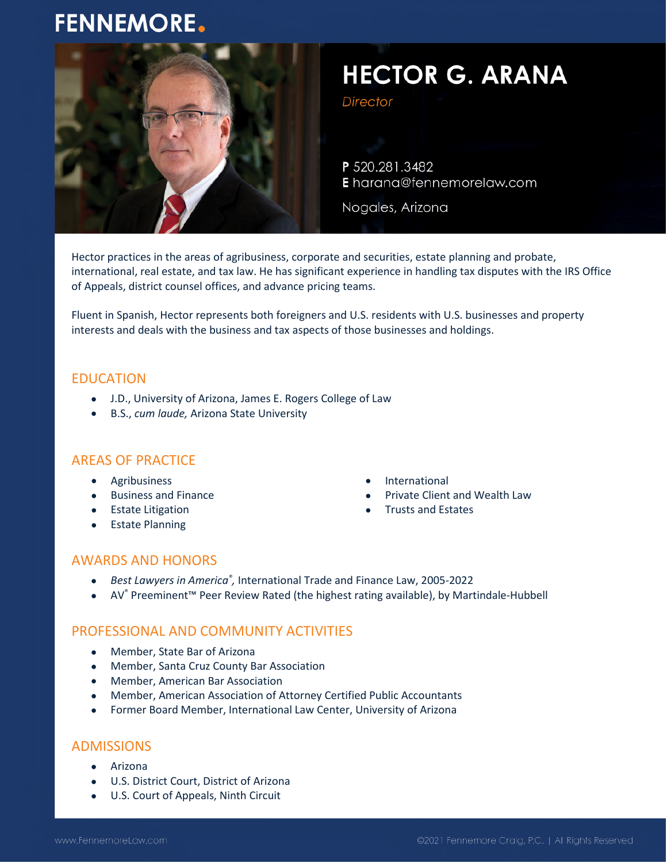# **FENNEMORE.**



# **HECTOR G. ARANA**

**Director** 

P 520.281.3482 E harana@fennemorelaw.com

Nogales, Arizona

Hector practices in the areas of agribusiness, corporate and securities, estate planning and probate, international, real estate, and tax law. He has significant experience in handling tax disputes with the IRS Office of Appeals, district counsel offices, and advance pricing teams.

Fluent in Spanish, Hector represents both foreigners and U.S. residents with U.S. businesses and property interests and deals with the business and tax aspects of those businesses and holdings.

#### EDUCATION

- J.D., University of Arizona, James E. Rogers College of Law
- B.S., *cum laude,* Arizona State University

## AREAS OF PRACTICE

- **•** Agribusiness
- Business and Finance
- Estate Litigation
- Estate Planning
- **•** International
- Private Client and Wealth Law
- Trusts and Estates

#### AWARDS AND HONORS

- **•** Best Lawyers in America®, International Trade and Finance Law, 2005-2022
- AV® Preeminent™ Peer Review Rated (the highest rating available), by Martindale-Hubbell

## PROFESSIONAL AND COMMUNITY ACTIVITIES

- Member, State Bar of Arizona
- Member, Santa Cruz County Bar Association
- Member, American Bar Association
- Member, American Association of Attorney Certified Public Accountants
- Former Board Member, International Law Center, University of Arizona

#### ADMISSIONS

- Arizona
- U.S. District Court, District of Arizona
- U.S. Court of Appeals, Ninth Circuit